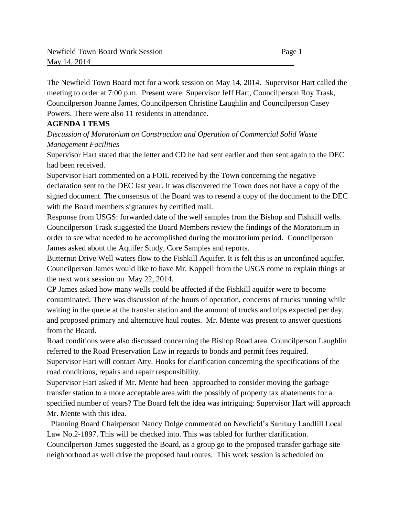The Newfield Town Board met for a work session on May 14, 2014. Supervisor Hart called the meeting to order at 7:00 p.m. Present were: Supervisor Jeff Hart, Councilperson Roy Trask, Councilperson Joanne James, Councilperson Christine Laughlin and Councilperson Casey Powers. There were also 11 residents in attendance.

## **AGENDA I TEMS**

*Discussion of Moratorium on Construction and Operation of Commercial Solid Waste Management Facilities* 

Supervisor Hart stated that the letter and CD he had sent earlier and then sent again to the DEC had been received.

Supervisor Hart commented on a FOIL received by the Town concerning the negative declaration sent to the DEC last year. It was discovered the Town does not have a copy of the signed document. The consensus of the Board was to resend a copy of the document to the DEC with the Board members signatures by certified mail.

Response from USGS: forwarded date of the well samples from the Bishop and Fishkill wells. Councilperson Trask suggested the Board Members review the findings of the Moratorium in order to see what needed to be accomplished during the moratorium period. Councilperson James asked about the Aquifer Study, Core Samples and reports.

Butternut Drive Well waters flow to the Fishkill Aquifer. It is felt this is an unconfined aquifer. Councilperson James would like to have Mr. Koppell from the USGS come to explain things at the next work session on May 22, 2014.

CP James asked how many wells could be affected if the Fishkill aquifer were to become contaminated. There was discussion of the hours of operation, concerns of trucks running while waiting in the queue at the transfer station and the amount of trucks and trips expected per day, and proposed primary and alternative haul routes. Mr. Mente was present to answer questions from the Board.

Road conditions were also discussed concerning the Bishop Road area. Councilperson Laughlin referred to the Road Preservation Law in regards to bonds and permit fees required.

Supervisor Hart will contact Atty. Hooks for clarification concerning the specifications of the road conditions, repairs and repair responsibility.

Supervisor Hart asked if Mr. Mente had been approached to consider moving the garbage transfer station to a more acceptable area with the possibly of property tax abatements for a specified number of years? The Board felt the idea was intriguing; Supervisor Hart will approach Mr. Mente with this idea.

 Planning Board Chairperson Nancy Dolge commented on Newfield's Sanitary Landfill Local Law No.2-1897. This will be checked into. This was tabled for further clarification. Councilperson James suggested the Board, as a group go to the proposed transfer garbage site neighborhood as well drive the proposed haul routes. This work session is scheduled on